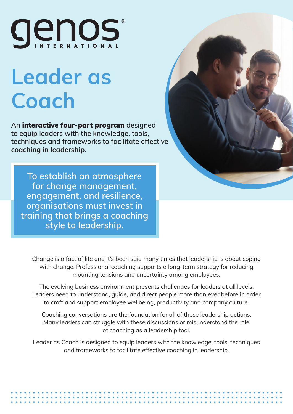

# Leader as Coach

An **interactive four-part program** designed to equip leaders with the knowledge, tools, techniques and frameworks to facilitate effective coaching in leadership.

To establish an atmosphere for change management, engagement, and resilience, organisations must invest in training that brings a coaching style to leadership.

Change is a fact of life and it's been said many times that leadership is about coping with change. Professional coaching supports a long-term strategy for reducing mounting tensions and uncertainty among employees.

The evolving business environment presents challenges for leaders at all levels. Leaders need to understand, guide, and direct people more than ever before in order to craft and support employee wellbeing, productivity and company culture.

Coaching conversations are the foundation for all of these leadership actions. Many leaders can struggle with these discussions or misunderstand the role of coaching as a leadership tool.

Leader as Coach is designed to equip leaders with the knowledge, tools, techniques and frameworks to facilitate effective coaching in leadership.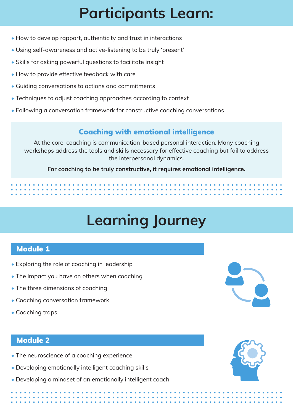### Participants Learn:

- How to develop rapport, authenticity and trust in interactions
- Using self-awareness and active-listening to be truly 'present'
- Skills for asking powerful questions to facilitate insight
- How to provide effective feedback with care
- Guiding conversations to actions and commitments
- Techniques to adjust coaching approaches according to context
- Following a conversation framework for constructive coaching conversations

#### Coaching with emotional intelligence

At the core, coaching is communication-based personal interaction. Many coaching workshops address the tools and skills necessary for effective coaching but fail to address the interpersonal dynamics.

For coaching to be truly constructive, it requires emotional intelligence.

## Learning Journey

#### Module 1

- Exploring the role of coaching in leadership
- The impact you have on others when coaching
- The three dimensions of coaching
- Coaching conversation framework
- Coaching traps

#### Module 2

- The neuroscience of a coaching experience
- Developing emotionally intelligent coaching skills
- Developing a mindset of an emotionally intelligent coach

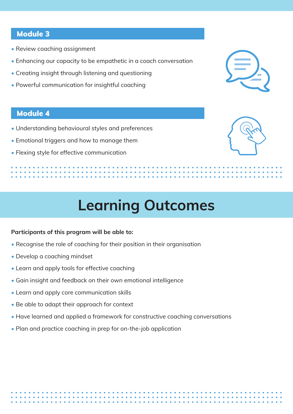#### Module 3

- Review coaching assignment
- Enhancing our capacity to be empathetic in a coach conversation
- Creating insight through listening and questioning
- Powerful communication for insightful coaching

#### Module 4

- Understanding behavioural styles and preferences
- Emotional triggers and how to manage them
- Flexing style for effective communication



### Learning Outcomes

#### Participants of this program will be able to:

- Recognise the role of coaching for their position in their organisation
- Develop a coaching mindset
- Learn and apply tools for effective coaching
- Gain insight and feedback on their own emotional intelligence
- Learn and apply core communication skills
- Be able to adapt their approach for context
- Have learned and applied a framework for constructive coaching conversations
- Plan and practice coaching in prep for on-the-job application